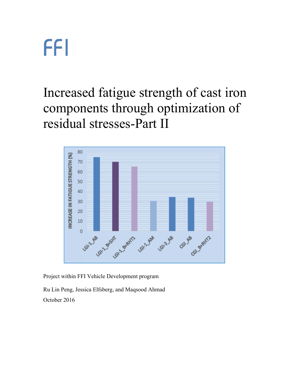Increased fatigue strength of cast iron components through optimization of residual stresses-Part II



Project within FFI Vehicle Development program

Ru Lin Peng, Jessica Elfsberg, and Maqsood Ahmad October 2016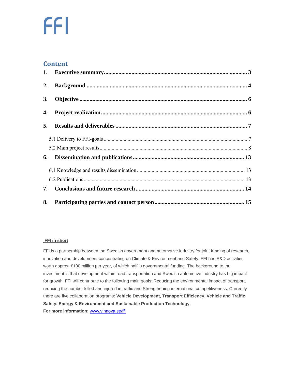#### **Content**

| 2. |  |
|----|--|
| 3. |  |
| 4. |  |
| 5. |  |
|    |  |
|    |  |
| 6. |  |
|    |  |
|    |  |
| 7. |  |
| 8. |  |

#### **FFI in short**

FFI is a partnership between the Swedish government and automotive industry for joint funding of research, innovation and development concentrating on Climate & Environment and Safety. FFI has R&D activities worth approx. €100 million per year, of which half is governmental funding. The background to the investment is that development within road transportation and Swedish automotive industry has big impact for growth. FFI will contribute to the following main goals: Reducing the environmental impact of transport, reducing the number killed and injured in traffic and Strengthening international competitiveness. Currently there are five collaboration programs: **Vehicle Development, Transport Efficiency, Vehicle and Traffic Safety, Energy & Environment and Sustainable Production Technology. For more information:** www.vinnova.se/ffi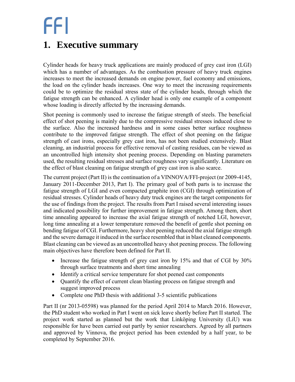### **1. Executive summary**

Cylinder heads for heavy truck applications are mainly produced of grey cast iron (LGI) which has a number of advantages. As the combustion pressure of heavy truck engines increases to meet the increased demands on engine power, fuel economy and emissions, the load on the cylinder heads increases. One way to meet the increasing requirements could be to optimize the residual stress state of the cylinder heads, through which the fatigue strength can be enhanced. A cylinder head is only one example of a component whose loading is directly affected by the increasing demands.

Shot peening is commonly used to increase the fatigue strength of steels. The beneficial effect of shot peening is mainly due to the compressive residual stresses induced close to the surface. Also the increased hardness and in some cases better surface roughness contribute to the improved fatigue strength. The effect of shot peening on the fatigue strength of cast irons, especially grey cast iron, has not been studied extensively. Blast cleaning, an industrial process for effective removal of casting residues, can be viewed as an uncontrolled high intensity shot peening process. Depending on blasting parameters used, the resulting residual stresses and surface roughness vary significantly. Literature on the effect of blast cleaning on fatigue strength of grey cast iron is also scarce.

The current project (Part II) is the continuation of a VINNOVA/FFI-project (nr 2009-4145, January 2011-December 2013, Part I). The primary goal of both parts is to increase the fatigue strength of LGI and even compacted graphite iron (CGI) through optimization of residual stresses. Cylinder heads of heavy duty truck engines are the target components for the use of findings from the project. The results from Part I raised several interesting issues and indicated possibility for further improvement in fatigue strength. Among them, short time annealing appeared to increase the axial fatigue strength of notched LGI, however, long time annealing at a lower temperature removed the benefit of gentle shot peening on bending fatigue of CGI. Furthermore, heavy shot peening reduced the axial fatigue strength and the severe damage it induced in the surface resembled that in blast cleaned components. Blast cleaning can be viewed as an uncontrolled heavy shot peening process. The following main objectives have therefore been defined for Part II.

- Increase the fatigue strength of grey cast iron by  $15\%$  and that of CGI by  $30\%$ through surface treatments and short time annealing
- Identify a critical service temperature for shot peened cast components
- Quantify the effect of current clean blasting process on fatigue strength and suggest improved process
- Complete one PhD thesis with additional 3-5 scientific publications

Part II (nr 2013-05598) was planned for the period April 2014 to March 2016. However, the PhD student who worked in Part I went on sick leave shortly before Part II started. The project work started as planned but the work that Linköping University (LiU) was responsible for have been carried out partly by senior researchers. Agreed by all partners and approved by Vinnova, the project period has been extended by a half year, to be completed by September 2016.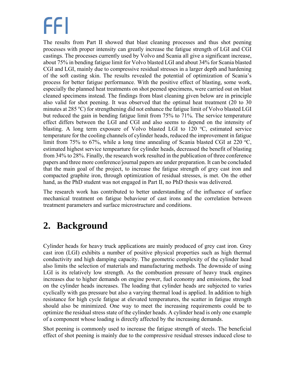The results from Part II showed that blast cleaning processes and thus shot peening processes with proper intensity can greatly increase the fatigue strength of LGI and CGI castings. The processes currently used by Volvo and Scania all give a significant increase, about 75% in bending fatigue limit for Volvo blasted LGI and about 34% for Scania blasted CGI and LGI, mainly due to compressive residual stresses in a larger depth and hardening of the soft casting skin. The results revealed the potential of optimization of Scania's process for better fatigue performance. With the positive effect of blasting, some work, especially the planned heat treatments on shot peened specimens, were carried out on blast cleaned specimens instead. The findings from blast cleaning given below are in principle also valid for shot peening. It was observed that the optimal heat treatment (20 to 30 minutes at 285 °C) for strengthening did not enhance the fatigue limit of Volvo blasted LGI but reduced the gain in bending fatigue limit from 75% to 71%. The service temperature effect differs between the LGI and CGI and also seems to depend on the intensity of blasting. A long term exposure of Volvo blasted LGI to  $120^{\circ}$ C, estimated service temperature for the cooling channels of cylinder heads, reduced the improvement in fatigue limit from 75% to 67%, while a long time annealing of Scania blasted CGI at 220 °C, estimated highest service tempearture for cylinder heads, decreased the benefit of blasting from 34% to 28%. Finally, the research work resulted in the publication of three conference papers and three more conference/journal papers are under preparation. It can be concluded that the main goal of the project, to increase the fatigue strength of grey cast iron and compacted graphite iron, through optimization of residual stresses, is met. On the other hand, as the PhD student was not engaged in Part II, no PhD thesis was delivered.

The research work has contributed to better understanding of the influence of surface mechanical treatment on fatigue behaviour of cast irons and the correlation between treatment parameters and surface microstructure and conditions.

### **2. Background**

Cylinder heads for heavy truck applications are mainly produced of grey cast iron. Grey cast iron (LGI) exhibits a number of positive physical properties such as high thermal conductivity and high damping capacity. The geometric complexity of the cylinder head also limits the selection of materials and manufacturing methods. The downside of using LGI is its relatively low strength. As the combustion pressure of heavy truck engines increases due to higher demands on engine power, fuel economy and emissions, the load on the cylinder heads increases. The loading that cylinder heads are subjected to varies cyclically with gas pressure but also a varying thermal load is applied. In addition to high resistance for high cycle fatigue at elevated temperatures, the scatter in fatigue strength should also be minimized. One way to meet the increasing requirements could be to optimize the residual stress state of the cylinder heads. A cylinder head is only one example of a component whose loading is directly affected by the increasing demands.

Shot peening is commonly used to increase the fatigue strength of steels. The beneficial effect of shot peening is mainly due to the compressive residual stresses induced close to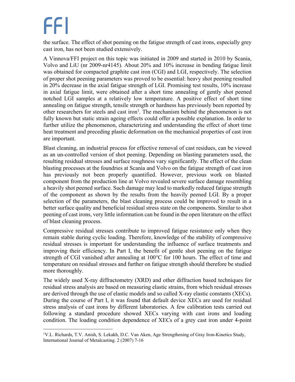the surface. The effect of shot peening on the fatigue strength of cast irons, especially grey cast iron, has not been studied extensively.

A Vinnova/FFI project on this topic was initiated in 2009 and started in 2010 by Scania, Volvo and LiU (nr 2009-nr4145). About 20% and 10% increase in bending fatigue limit was obtained for compacted graphite cast iron (CGI) and LGI, respectively. The selection of proper shot peening parameters was proved to be essential: heavy shot peening resulted in 20% decrease in the axial fatigue strength of LGI. Promising test results, 10% increase in axial fatigue limit, were obtained after a short time annealing of gently shot peened notched LGI samples at a relatively low temperature. A positive effect of short time annealing on fatigue strength, tensile strength or hardness has previously been reported by other researchers for steels and cast iron<sup>1</sup>. The mechanism behind the phenomenon is not fully known but static strain ageing effects could offer a possible explanation. In order to further utilize the phenomenon, characterizing and understanding the effect of short time heat treatment and preceding plastic deformation on the mechanical properties of cast iron are important.

Blast cleaning, an industrial process for effective removal of cast residues, can be viewed as an un-controlled version of shot peening. Depending on blasting parameters used, the resulting residual stresses and surface roughness vary significantly. The effect of the clean blasting processes at the foundries at Scania and Volvo on the fatigue strength of cast iron has previously not been properly quantified. However, previous work on blasted component from the production line at Volvo revealed severe surface damage resembling a heavily shot peened surface. Such damage may lead to markedly reduced fatigue strength of the component as shown by the results from the heavily peened LGI. By a proper selection of the parameters, the blast cleaning process could be improved to result in a better surface quality and beneficial residual stress state on the components. Similar to shot peening of cast irons, very little information can be found in the open literature on the effect of blast cleaning process.

Compressive residual stresses contribute to improved fatigue resistance only when they remain stable during cyclic loading. Therefore, knowledge of the stability of compressive residual stresses is important for understanding the influence of surface treatments and improving their efficiency. In Part I, the benefit of gentle shot peening on the fatigue strength of CGI vanished after annealing at 100°C for 100 hours. The effect of time and temperature on residual stresses and further on fatigue strength should therefore be studied more thoroughly.

The widely used X-ray diffractometry (XRD) and other diffraction based techniques for residual stress analysis are based on measuring elastic strains, from which residual stresses are derived through the use of elastic models and so called X-ray elastic constants (XECs). During the course of Part I, it was found that default device XECs are used for residual stress analysis of cast irons by different laboratories. A few calibration tests carried out following a standard procedure showed XECs varying with cast irons and loading condition. The loading condition dependence of XECs of a grey cast iron under 4-point

 $\overline{a}$ <sup>1</sup>V.L. Richards, T.V. Anish, S. Lekakh, D.C. Van Aken, Age Strengthening of Gray Iron-Kinetics Study, International Journal of Metalcasting. 2 (2007) 7-16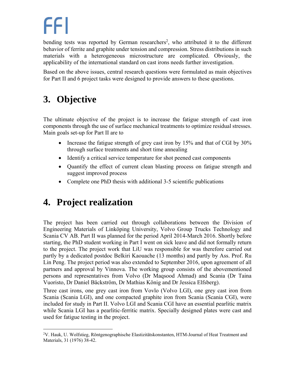bending tests was reported by German researchers<sup>2</sup>, who attributed it to the different behavior of ferrite and graphite under tension and compression. Stress distributions in such materials with a heterogeneous microstructure are complicated. Obviously, the applicability of the international standard on cast irons needs further investigation.

Based on the above issues, central research questions were formulated as main objectives for Part II and 6 project tasks were designed to provide answers to these questions.

### **3. Objective**

The ultimate objective of the project is to increase the fatigue strength of cast iron components through the use of surface mechanical treatments to optimize residual stresses. Main goals set-up for Part II are to

- Increase the fatigue strength of grey cast iron by 15% and that of CGI by 30% through surface treatments and short time annealing
- Identify a critical service temperature for shot peened cast components
- Ouantify the effect of current clean blasting process on fatigue strength and suggest improved process
- Complete one PhD thesis with additional 3-5 scientific publications

### **4. Project realization**

 $\overline{a}$ 

The project has been carried out through collaborations between the Division of Engineering Materials of Linköping University, Volvo Group Trucks Technology and Scania CV AB. Part II was planned for the period April 2014-March 2016. Shortly before starting, the PhD student working in Part I went on sick leave and did not formally return to the project. The project work that LiU was responsible for was therefore carried out partly by a dedicated postdoc Belkiri Kaouache (13 months) and partly by Ass. Prof. Ru Lin Peng. The project period was also extended to September 2016, upon agreement of all partners and approval by Vinnova. The working group consists of the abovementioned persons and representatives from Volvo (Dr Maqsood Ahmad) and Scania (Dr Taina Vuoristo, Dr Daniel Bäckström, Dr Mathias König and Dr Jessica Elfsberg).

Three cast irons, one grey cast iron from Vovlo (Volvo LGI), one grey cast iron from Scania (Scania LGI), and one compacted graphite iron from Scania (Scania CGI), were included for study in Part II. Volvo LGI and Scania CGI have an essential pearlitic matrix while Scania LGI has a pearlitic-ferritic matrix. Specially designed plates were cast and used for fatigue testing in the project.

<sup>2</sup> V. Hauk, U. Wolfstieg, Röntgenographische Elastizitätskonstanten, HTM-Journal of Heat Treatment and Materials, 31 (1976) 38-42.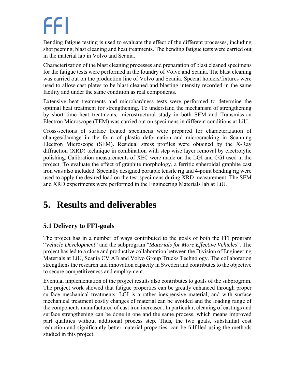Bending fatigue testing is used to evaluate the effect of the different processes, including shot peening, blast cleaning and heat treatments. The bending fatigue tests were carried out in the material lab in Volvo and Scania.

Characterization of the blast cleaning processes and preparation of blast cleaned specimens for the fatigue tests were performed in the foundry of Volvo and Scania. The blast cleaning was carried out on the production line of Volvo and Scania. Special holders/fixtures were used to allow cast plates to be blast cleaned and blasting intensity recorded in the same facility and under the same condition as real components.

Extensive heat treatments and microhardness tests were performed to determine the optimal heat treatment for strengthening. To understand the mechanism of strengthening by short time heat treatments, microstructural study in both SEM and Transmission Electron Microscope (TEM) was carried out on specimens in different conditions at LiU.

Cross-sections of surface treated specimens were prepared for characterization of changes/damage in the form of plastic deformation and microcracking in Scanning Electron Microscope (SEM). Residual stress profiles were obtained by the X-Ray diffraction (XRD) technique in combination with step wise layer removal by electrolytic polishing. Calibration measurements of XEC were made on the LGI and CGI used in the project. To evaluate the effect of graphite morphology, a ferritic spheroidal graphite cast iron was also included. Specially designed portable tensile rig and 4-point bending rig were used to apply the desired load on the test specimens during XRD measurement. The SEM and XRD experiments were performed in the Engineering Materials lab at LiU.

### **5. Results and deliverables**

### **5.1 Delivery to FFI-goals**

The project has in a number of ways contributed to the goals of both the FFI program "*Vehicle Development*" and the subprogram "*Materials for More Effective Vehicles*". The project has led to a close and productive collaboration between the Division of Engineering Materials at LiU, Scania CV AB and Volvo Group Trucks Technology. The collaboration strengthens the research and innovation capacity in Sweden and contributes to the objective to secure competitiveness and employment.

Eventual implementation of the project results also contributes to goals of the subprogram. The project work showed that fatigue properties can be greatly enhanced through proper surface mechanical treatments. LGI is a rather inexpensive material, and with surface mechanical treatment costly changes of material can be avoided and the loading range of the components manufactured of cast iron increased. In particular, cleaning of castings and surface strengthening can be done in one and the same process, which means improved part qualities without additional process step. Thus, the two goals, substantial cost reduction and significantly better material properties, can be fulfilled using the methods studied in this project.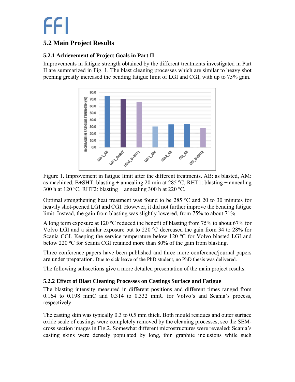### **5.2 Main Project Results**

#### **5.2.1 Achievement of Project Goals in Part II**

Improvements in fatigue strength obtained by the different treatments investigated in Part II are summarized in Fig. 1. The blast cleaning processes which are similar to heavy shot peening greatly increased the bending fatigue limit of LGI and CGI, with up to 75% gain.



Figure 1. Improvement in fatigue limit after the different treatments. AB: as blasted, AM: as machined, B+SHT: blasting + annealing 20 min at 285 °C, RHT1: blasting + annealing 300 h at 120 °C, RHT2: blasting + annealing 300 h at 220 °C.

Optimal strengthening heat treatment was found to be  $285 °C$  and  $20$  to  $30$  minutes for heavily shot-peened LGI and CGI. However, it did not further improve the bending fatigue limit. Instead, the gain from blasting was slightly lowered, from 75% to about 71%.

A long term exposure at 120  $^{\circ}$ C reduced the benefit of blasting from 75% to about 67% for Volvo LGI and a similar exposure but to 220  $^{\circ}$ C decreased the gain from 34 to 28% for Scania CGI. Keeping the service temperature below 120 °C for Volvo blasted LGI and below 220 °C for Scania CGI retained more than 80% of the gain from blasting.

Three conference papers have been published and three more conference/journal papers are under preparation. Due to sick leave of the PhD student, no PhD thesis was delivered.

The following subsections give a more detailed presentation of the main project results.

#### **5.2.2 Effect of Blast Cleaning Processes on Castings Surface and Fatigue**

The blasting intensity measured in different positions and different times ranged from 0.164 to 0.198 mmC and 0.314 to 0.332 mmC for Volvo's and Scania's process, respectively.

The casting skin was typically 0.3 to 0.5 mm thick. Both mould residues and outer surface oxide scale of castings were completely removed by the cleaning processes, see the SEMcross section images in Fig.2. Somewhat different microstructures were revealed: Scania's casting skins were densely populated by long, thin graphite inclusions while such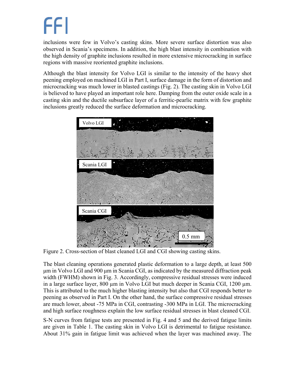inclusions were few in Volvo's casting skins. More severe surface distortion was also observed in Scania's specimens. In addition, the high blast intensity in combination with the high density of graphite inclusions resulted in more extensive microcracking in surface regions with massive reoriented graphite inclusions.

Although the blast intensity for Volvo LGI is similar to the intensity of the heavy shot peening employed on machined LGI in Part I, surface damage in the form of distortion and microcracking was much lower in blasted castings (Fig. 2). The casting skin in Volvo LGI is believed to have played an important role here. Damping from the outer oxide scale in a casting skin and the ductile subsurface layer of a ferritic-pearlic matrix with few graphite inclusions greatly reduced the surface deformation and microcracking.



Figure 2. Cross-section of blast cleaned LGI and CGI showing casting skins.

The blast cleaning operations generated plastic deformation to a large depth, at least 500 μm in Volvo LGI and 900 μm in Scania CGI, as indicated by the measured diffraction peak width (FWHM) shown in Fig. 3. Accordingly, compressive residual stresses were induced in a large surface layer, 800 µm in Volvo LGI but much deeper in Scania CGI, 1200 µm. This is attributed to the much higher blasting intensity but also that CGI responds better to peening as observed in Part I. On the other hand, the surface compressive residual stresses are much lower, about -75 MPa in CGI, contrasting -300 MPa in LGI. The microcracking and high surface roughness explain the low surface residual stresses in blast cleaned CGI.

S-N curves from fatigue tests are presented in Fig. 4 and 5 and the derived fatigue limits are given in Table 1. The casting skin in Volvo LGI is detrimental to fatigue resistance. About 31% gain in fatigue limit was achieved when the layer was machined away. The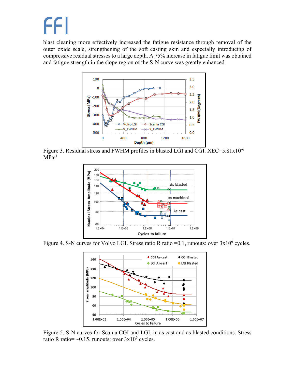blast cleaning more effectively increased the fatigue resistance through removal of the outer oxide scale, strengthening of the soft casting skin and especially introducing of compressive residual stresses to a large depth. A 75% increase in fatigue limit was obtained and fatigue strength in the slope region of the S-N curve was greatly enhanced.



Figure 3. Residual stress and FWHM profiles in blasted LGI and CGI. XEC=5.81x10<sup>-6</sup>  $MPa^{-1}$ 



Figure 4. S-N curves for Volvo LGI. Stress ratio R ratio =  $0.1$ , runouts: over  $3x10^6$  cycles.



Figure 5. S-N curves for Scania CGI and LGI, in as cast and as blasted conditions. Stress ratio R ratio=  $\sim 0.15$ , runouts: over  $3x10^6$  cycles.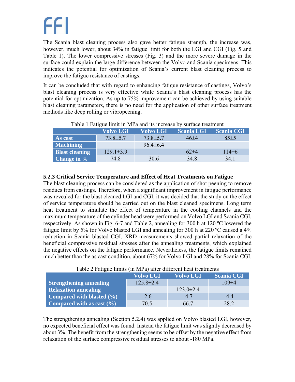The Scania blast cleaning process also gave better fatigue strength, the increase was, however, much lower, about 34% in fatigue limit for both the LGI and CGI (Fig. 5 and Table 1). The lower compressive stresses (Fig. 3) and the more severe damage in the surface could explain the large difference between the Volvo and Scania specimens. This indicates the potential for optimization of Scania's current blast cleaning process to improve the fatigue resistance of castings.

It can be concluded that with regard to enhancing fatigue resistance of castings, Volvo's blast cleaning process is very effective while Scania's blast cleaning process has the potential for optimization. As up to 75% improvement can be achieved by using suitable blast cleaning parameters, there is no need for the application of other surface treatment methods like deep rolling or vibropeening.

| $\sim$ work is a weighty minite in 1.11 w will the indicated of $\sim$ , overlwest to whenever |                  |                  |                   |                   |  |  |  |  |  |
|------------------------------------------------------------------------------------------------|------------------|------------------|-------------------|-------------------|--|--|--|--|--|
|                                                                                                | <b>Volvo LGI</b> | <b>Volvo LGI</b> | <b>Scania LGI</b> | <b>Scania CGI</b> |  |  |  |  |  |
| As cast                                                                                        | $73.8 \pm 5.7$   | $73.8 \pm 5.7$   | $46\pm4$          | $85 \pm 5$        |  |  |  |  |  |
| <b>Machining</b>                                                                               |                  | $96.4 \pm 6.4$   |                   |                   |  |  |  |  |  |
| <b>Blast cleaning</b>                                                                          | $129.1 \pm 3.9$  |                  | $62\pm4$          | $114\pm 6$        |  |  |  |  |  |
| <b>Change in</b> %                                                                             | 74.8             | 30.6             | 34.8              | 34.1              |  |  |  |  |  |

#### Table 1 Fatigue limit in MPa and its increase by surface treatment

#### **5.2.3 Critical Service Temperature and Effect of Heat Treatments on Fatigue**

The blast cleaning process can be considered as the application of shot peening to remove residues from castings. Therefore, when a significant improvement in fatigue performance was revealed for the blast cleaned LGI and CGI, it was decided that the study on the effect of service temperature should be carried out on the blast cleaned specimens. Long term heat treatment to simulate the effect of temperature in the cooling channels and the maximum temperature of the cylinder head were performed on Volvo LGI and Scania CGI, respectively. As shown in Fig. 6-7 and Table 2, annealing for 300 h at  $120^{\circ}$ C lowered the fatigue limit by 5% for Volvo blasted LGI and annealing for 300 h at 220  $\degree$ C caused a 4% reduction in Scania blasted CGI. XRD measurements showed partial relaxation of the beneficial compressive residual stresses after the annealing treatments, which explained the negative effects on the fatigue performance. Nevertheless, the fatigue limits remained much better than the as cast condition, about 67% for Volvo LGI and 28% for Scania CGI.

|                                | <b>Volvo LGI</b> | <b>Volvo LGI</b> | <b>Scania CGI</b> |  |  |  |
|--------------------------------|------------------|------------------|-------------------|--|--|--|
| <b>Strengthening annealing</b> | $125.8 \pm 2.4$  |                  | $109\pm4$         |  |  |  |
| <b>Relaxation annealing</b>    |                  | $123.0 \pm 2.4$  |                   |  |  |  |
| Compared with blasted (%)      | $-2.6$           | $-47$            | $-44$             |  |  |  |
| Compared with as cast $(\% )$  | 70.5             | 66 7             | 282               |  |  |  |

#### Table 2 Fatigue limits (in MPa) after different heat treatments

The strengthening annealing (Section 5.2.4) was applied on Volvo blasted LGI, however, no expected beneficial effect was found. Instead the fatigue limit was slightly decreased by about 3%. The benefit from the strengthening seems to be offset by the negative effect from relaxation of the surface compressive residual stresses to about -180 MPa.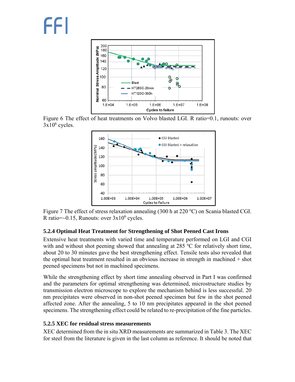

Figure 6 The effect of heat treatments on Volvo blasted LGI. R ratio=0.1, runouts: over  $3x10^6$  cycles.



Figure 7 The effect of stress relaxation annealing (300 h at 220 °C) on Scania blasted CGI. R ratio= $\sim$ 0.15, Runouts: over  $3x10^6$  cycles.

#### **5.2.4 Optimal Heat Treatment for Strengthening of Shot Peened Cast Irons**

Extensive heat treatments with varied time and temperature performed on LGI and CGI with and without shot peening showed that annealing at  $285 \degree C$  for relatively short time, about 20 to 30 minutes gave the best strengthening effect. Tensile tests also revealed that the optimal heat treatment resulted in an obvious increase in strength in machined + shot peened specimens but not in machined specimens.

While the strengthening effect by short time annealing observed in Part I was confirmed and the parameters for optimal strengthening was determined, microstructure studies by transmission electron microscope to explore the mechanism behind is less successful. 20 nm precipitates were observed in non-shot peened specimen but few in the shot peened affected zone. After the annealing, 5 to 10 nm precipitates appeared in the shot peened specimens. The strengthening effect could be related to re-precipitation of the fine particles.

#### **5.2.5 XEC for residual stress measurements**

XEC determined from the in situ XRD measurements are summarized in Table 3. The XEC for steel from the literature is given in the last column as reference. It should be noted that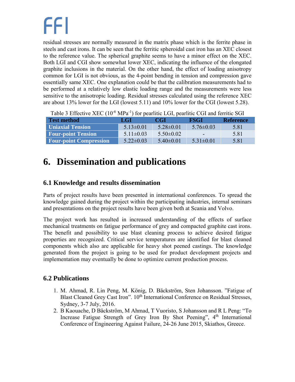residual stresses are normally measured in the matrix phase which is the ferrite phase in steels and cast irons. It can be seen that the ferritic spheroidal cast iron has an XEC closest to the reference value. The spherical graphite seems to have a minor effect on the XEC. Both LGI and CGI show somewhat lower XEC, indicating the influence of the elongated graphite inclusions in the material. On the other hand, the effect of loading anisotropy common for LGI is not obvious, as the 4-point bending in tension and compression gave essentially same XEC. One explanation could be that the calibration measurements had to be performed at a relatively low elastic loading range and the measurements were less sensitive to the anisotropic loading. Residual stresses calculated using the reference XEC are about 13% lower for the LGI (lowest 5.11) and 10% lower for the CGI (lowest 5.28).

| <b>Test method</b>            | LGI             | <b>CGI</b>      | <b>FSGI</b>     | <b>Reference</b> |
|-------------------------------|-----------------|-----------------|-----------------|------------------|
| <b>Uniaxial Tension</b>       | $5.13 \pm 0.01$ | $5.28 \pm 0.01$ | $576\pm0.03$    | 5.81             |
| <b>Four-point Tension</b>     | $5.11 \pm 0.03$ | $5.50 \pm 0.02$ | $\sim$          | 5.81             |
| <b>Four-point Compression</b> | $5.22 \pm 0.03$ | $5.40 \pm 0.01$ | $5.31 \pm 0.01$ | 5.81             |

Table 3 Effective XEC  $(10^{-6} \text{ MPa}^{-1})$  for pearlitic LGI, pearlitic CGI and ferritic SGI

### **6. Dissemination and publications**

### **6.1 Knowledge and results dissemination**

Parts of project results have been presented in international conferences. To spread the knowledge gained during the project within the participating industries, internal seminars and presentations on the project results have been given both at Scania and Volvo.

The project work has resulted in increased understanding of the effects of surface mechanical treatments on fatigue performance of grey and compacted graphite cast irons. The benefit and possibility to use blast cleaning process to achieve desired fatigue properties are recognized. Critical service temperatures are identified for blast cleaned components which also are applicable for heavy shot peened castings. The knowledge generated from the project is going to be used for product development projects and implementation may eventually be done to optimize current production process.

#### **6.2 Publications**

- 1. M. Ahmad, R. Lin Peng, M. König, D. Bäckström, Sten Johansson. "Fatigue of Blast Cleaned Grey Cast Iron". 10<sup>th</sup> International Conference on Residual Stresses, Sydney, 3-7 July, 2016.
- 2. B Kaouache, D Bäckström, M Ahmad, T Vuoristo, S Johansson and R L Peng: "To Increase Fatigue Strength of Grey Iron By Shot Peening", 4<sup>th</sup> International Conference of Engineering Against Failure, 24-26 June 2015, Skiathos, Greece.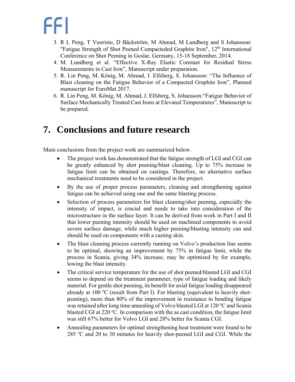- 3. R L Peng, T Vuoristo, D Bäckström, M Ahmad, M Lundberg and S Johansson: "Fatigue Strength of Shot Peened Compacteded Graphite Iron", 12<sup>th</sup> International Conference on Shot Peening in Goslar, Germany, 15-18 September, 2014.
- 4. M. Lundberg et al. "Effective X-Ray Elastic Constant for Residual Stress Measurements in Cast Iron", Manuscript under preparation.
- 5. R. Lin Peng, M. König, M. Ahmad, J. Elfsberg, S. Johansson: "The Influence of Blast cleaning on the Fatigue Behavior of a Compacted Graphite Iron", Planned manuscript for EuroMat 2017.
- 6. R. Lin Peng, M. König, M. Ahmad, J. Elfsberg, S. Johansson:"Fatigue Behavior of Surface Mechanically Treated Cast Irons at Elevated Temperatures", Manuscript to be prepared.

### **7. Conclusions and future research**

Main conclusions from the project work are summarized below.

- The project work has demonstrated that the fatigue strength of LGI and CGI can be greatly enhanced by shot peening/blast cleaning. Up to 75% increase in fatigue limit can be obtained on castings. Therefore, no alternative surface mechanical treatments need to be considered in the project.
- By the use of proper process parameters, cleaning and strengthening against fatigue can be achieved using one and the same blasting process.
- Selection of process parameters for blast cleaning/shot peening, especially the intensity of impact, is crucial and needs to take into consideration of the microstructure in the surface layer. It can be derived from work in Part I and II that lower peening intensity should be used on machined components to avoid severe surface damage, while much higher peening/blasting intensity can and should be used on components with a casting skin.
- The blast cleaning process currently running on Volvo's production line seems to be optimal, showing an improvement by 75% in fatigue limit, while the process in Scania, giving 34% increase, may be optimized by for example, lowing the blast intensity.
- The critical service temperature for the use of shot peened/blasted LGI and CGI seems to depend on the treatment parameter, type of fatigue loading and likely material. For gentle shot peening, its benefit for axial fatigue loading disappeared already at 100 °C (result from Part I). For blasting (equivalent to heavily shotpeening), more than 80% of the improvement in resistance to bending fatigue was retained after long time annealing of Volvo blasted LGI at 120 °C and Scania blasted CGI at 220 °C. In comparison with the as cast condition, the fatigue limit was still 67% better for Volvo LGI and 28% better for Scania CGI.
- Annealing parameters for optimal strengthening heat treatment were found to be 285 °C and 20 to 30 minutes for heavily shot-peened LGI and CGI. While the